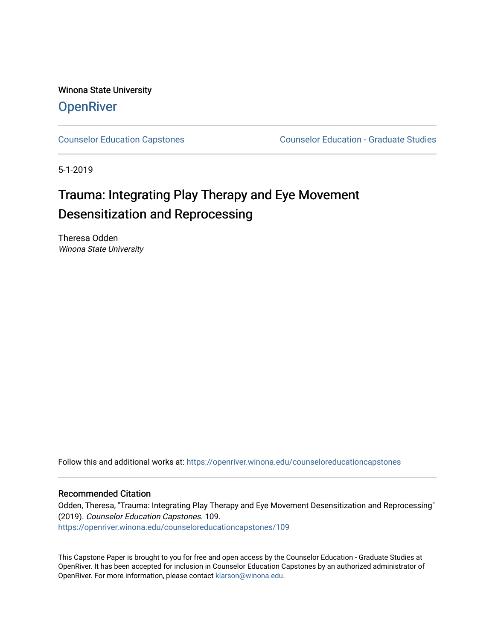Winona State University **OpenRiver** 

[Counselor Education Capstones](https://openriver.winona.edu/counseloreducationcapstones) [Counselor Education - Graduate Studies](https://openriver.winona.edu/counseloreducation) 

5-1-2019

# Trauma: Integrating Play Therapy and Eye Movement Desensitization and Reprocessing

Theresa Odden Winona State University

Follow this and additional works at: [https://openriver.winona.edu/counseloreducationcapstones](https://openriver.winona.edu/counseloreducationcapstones?utm_source=openriver.winona.edu%2Fcounseloreducationcapstones%2F109&utm_medium=PDF&utm_campaign=PDFCoverPages)

# Recommended Citation

Odden, Theresa, "Trauma: Integrating Play Therapy and Eye Movement Desensitization and Reprocessing" (2019). Counselor Education Capstones. 109. [https://openriver.winona.edu/counseloreducationcapstones/109](https://openriver.winona.edu/counseloreducationcapstones/109?utm_source=openriver.winona.edu%2Fcounseloreducationcapstones%2F109&utm_medium=PDF&utm_campaign=PDFCoverPages)

This Capstone Paper is brought to you for free and open access by the Counselor Education - Graduate Studies at OpenRiver. It has been accepted for inclusion in Counselor Education Capstones by an authorized administrator of OpenRiver. For more information, please contact [klarson@winona.edu](mailto:klarson@winona.edu).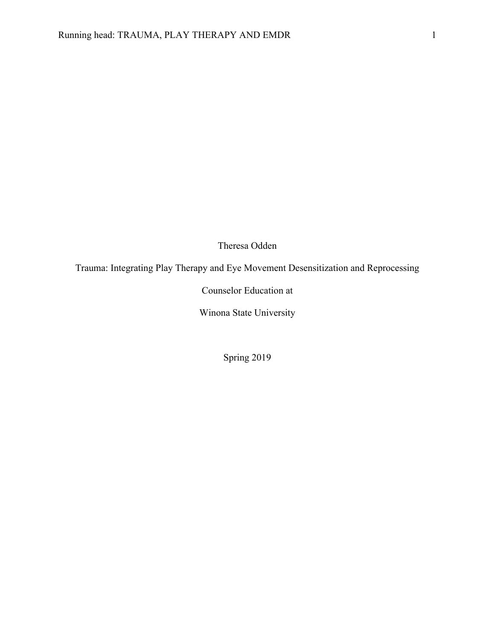Theresa Odden

Trauma: Integrating Play Therapy and Eye Movement Desensitization and Reprocessing

Counselor Education at

Winona State University

Spring 2019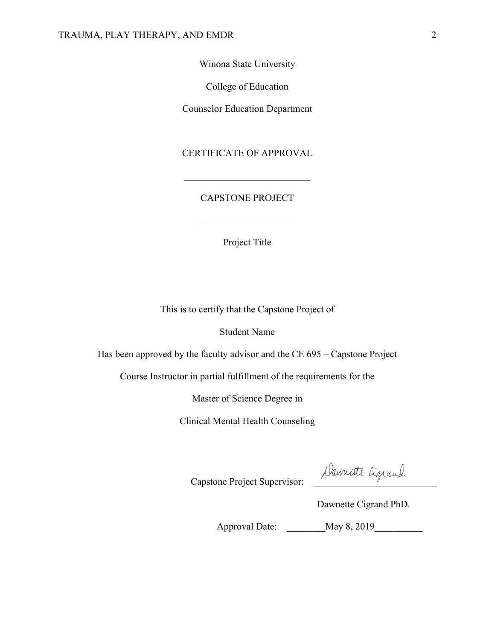Winona State University

College of Education

Counselor Education Department

# CERTIFICATE OF APPROVAL

# CAPSTONE PROJECT

Project Title

This is to certify that the Capstone Project of

Student Name

Has been approved by the faculty advisor and the CE 695 – Capstone Project

Course Instructor in partial fulfillment of the requirements for the

Master of Science Degree in

Clinical Mental Health Counseling

Daunatte Cigrand

Capstone Project Supervisor:

Dawnette Cigrand PhD.

Approval Date: \_\_\_\_\_\_\_\_\_\_ May 8, 2019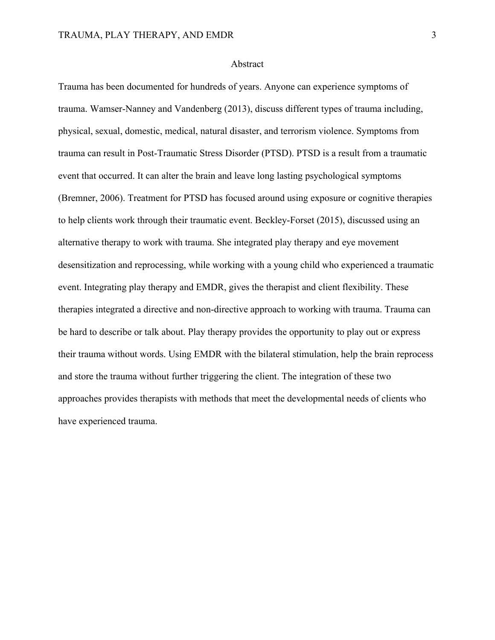# Abstract

Trauma has been documented for hundreds of years. Anyone can experience symptoms of trauma. Wamser-Nanney and Vandenberg (2013), discuss different types of trauma including, physical, sexual, domestic, medical, natural disaster, and terrorism violence. Symptoms from trauma can result in Post-Traumatic Stress Disorder (PTSD). PTSD is a result from a traumatic event that occurred. It can alter the brain and leave long lasting psychological symptoms (Bremner, 2006). Treatment for PTSD has focused around using exposure or cognitive therapies to help clients work through their traumatic event. Beckley-Forset (2015), discussed using an alternative therapy to work with trauma. She integrated play therapy and eye movement desensitization and reprocessing, while working with a young child who experienced a traumatic event. Integrating play therapy and EMDR, gives the therapist and client flexibility. These therapies integrated a directive and non-directive approach to working with trauma. Trauma can be hard to describe or talk about. Play therapy provides the opportunity to play out or express their trauma without words. Using EMDR with the bilateral stimulation, help the brain reprocess and store the trauma without further triggering the client. The integration of these two approaches provides therapists with methods that meet the developmental needs of clients who have experienced trauma.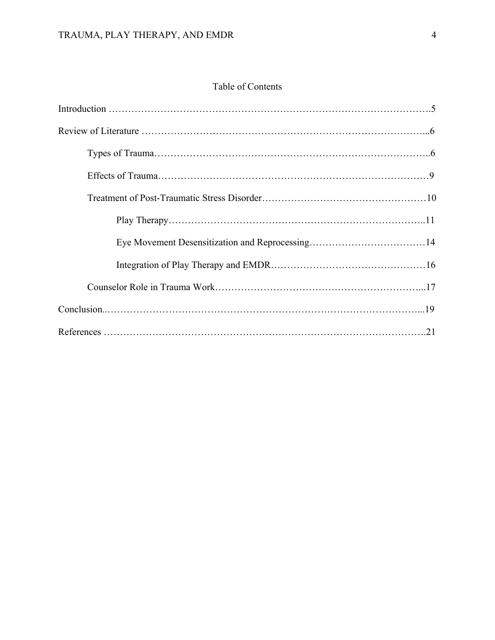# Table of Contents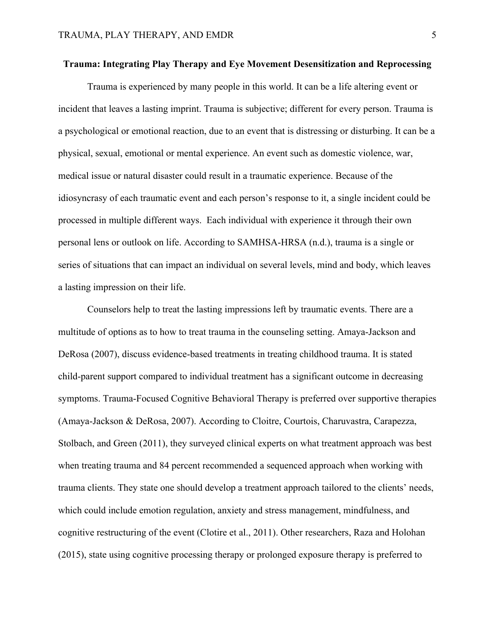# **Trauma: Integrating Play Therapy and Eye Movement Desensitization and Reprocessing**

Trauma is experienced by many people in this world. It can be a life altering event or incident that leaves a lasting imprint. Trauma is subjective; different for every person. Trauma is a psychological or emotional reaction, due to an event that is distressing or disturbing. It can be a physical, sexual, emotional or mental experience. An event such as domestic violence, war, medical issue or natural disaster could result in a traumatic experience. Because of the idiosyncrasy of each traumatic event and each person's response to it, a single incident could be processed in multiple different ways. Each individual with experience it through their own personal lens or outlook on life. According to SAMHSA-HRSA (n.d.), trauma is a single or series of situations that can impact an individual on several levels, mind and body, which leaves a lasting impression on their life.

Counselors help to treat the lasting impressions left by traumatic events. There are a multitude of options as to how to treat trauma in the counseling setting. Amaya-Jackson and DeRosa (2007), discuss evidence-based treatments in treating childhood trauma. It is stated child-parent support compared to individual treatment has a significant outcome in decreasing symptoms. Trauma-Focused Cognitive Behavioral Therapy is preferred over supportive therapies (Amaya-Jackson & DeRosa, 2007). According to Cloitre, Courtois, Charuvastra, Carapezza, Stolbach, and Green (2011), they surveyed clinical experts on what treatment approach was best when treating trauma and 84 percent recommended a sequenced approach when working with trauma clients. They state one should develop a treatment approach tailored to the clients' needs, which could include emotion regulation, anxiety and stress management, mindfulness, and cognitive restructuring of the event (Clotire et al., 2011). Other researchers, Raza and Holohan (2015), state using cognitive processing therapy or prolonged exposure therapy is preferred to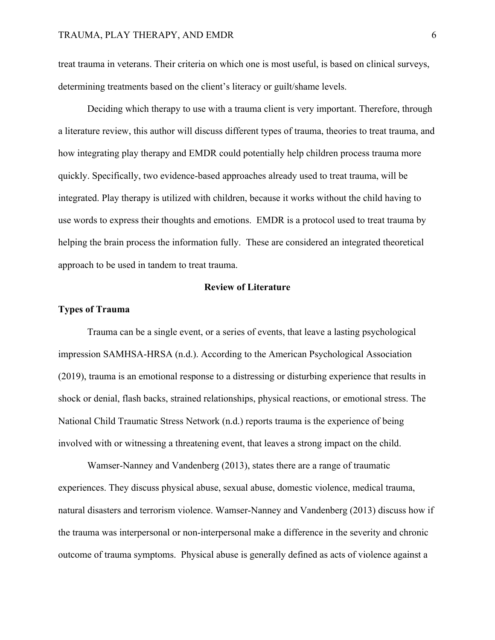treat trauma in veterans. Their criteria on which one is most useful, is based on clinical surveys, determining treatments based on the client's literacy or guilt/shame levels.

Deciding which therapy to use with a trauma client is very important. Therefore, through a literature review, this author will discuss different types of trauma, theories to treat trauma, and how integrating play therapy and EMDR could potentially help children process trauma more quickly. Specifically, two evidence-based approaches already used to treat trauma, will be integrated. Play therapy is utilized with children, because it works without the child having to use words to express their thoughts and emotions. EMDR is a protocol used to treat trauma by helping the brain process the information fully. These are considered an integrated theoretical approach to be used in tandem to treat trauma.

# **Review of Literature**

# **Types of Trauma**

Trauma can be a single event, or a series of events, that leave a lasting psychological impression SAMHSA-HRSA (n.d.). According to the American Psychological Association (2019), trauma is an emotional response to a distressing or disturbing experience that results in shock or denial, flash backs, strained relationships, physical reactions, or emotional stress. The National Child Traumatic Stress Network (n.d.) reports trauma is the experience of being involved with or witnessing a threatening event, that leaves a strong impact on the child.

Wamser-Nanney and Vandenberg (2013), states there are a range of traumatic experiences. They discuss physical abuse, sexual abuse, domestic violence, medical trauma, natural disasters and terrorism violence. Wamser-Nanney and Vandenberg (2013) discuss how if the trauma was interpersonal or non-interpersonal make a difference in the severity and chronic outcome of trauma symptoms. Physical abuse is generally defined as acts of violence against a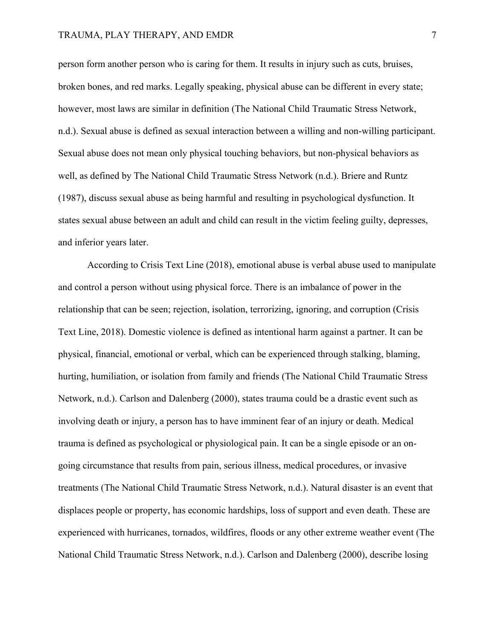# TRAUMA, PLAY THERAPY, AND EMDR 7

person form another person who is caring for them. It results in injury such as cuts, bruises, broken bones, and red marks. Legally speaking, physical abuse can be different in every state; however, most laws are similar in definition (The National Child Traumatic Stress Network, n.d.). Sexual abuse is defined as sexual interaction between a willing and non-willing participant. Sexual abuse does not mean only physical touching behaviors, but non-physical behaviors as well, as defined by The National Child Traumatic Stress Network (n.d.). Briere and Runtz (1987), discuss sexual abuse as being harmful and resulting in psychological dysfunction. It states sexual abuse between an adult and child can result in the victim feeling guilty, depresses, and inferior years later.

According to Crisis Text Line (2018), emotional abuse is verbal abuse used to manipulate and control a person without using physical force. There is an imbalance of power in the relationship that can be seen; rejection, isolation, terrorizing, ignoring, and corruption (Crisis Text Line, 2018). Domestic violence is defined as intentional harm against a partner. It can be physical, financial, emotional or verbal, which can be experienced through stalking, blaming, hurting, humiliation, or isolation from family and friends (The National Child Traumatic Stress Network, n.d.). Carlson and Dalenberg (2000), states trauma could be a drastic event such as involving death or injury, a person has to have imminent fear of an injury or death. Medical trauma is defined as psychological or physiological pain. It can be a single episode or an ongoing circumstance that results from pain, serious illness, medical procedures, or invasive treatments (The National Child Traumatic Stress Network, n.d.). Natural disaster is an event that displaces people or property, has economic hardships, loss of support and even death. These are experienced with hurricanes, tornados, wildfires, floods or any other extreme weather event (The National Child Traumatic Stress Network, n.d.). Carlson and Dalenberg (2000), describe losing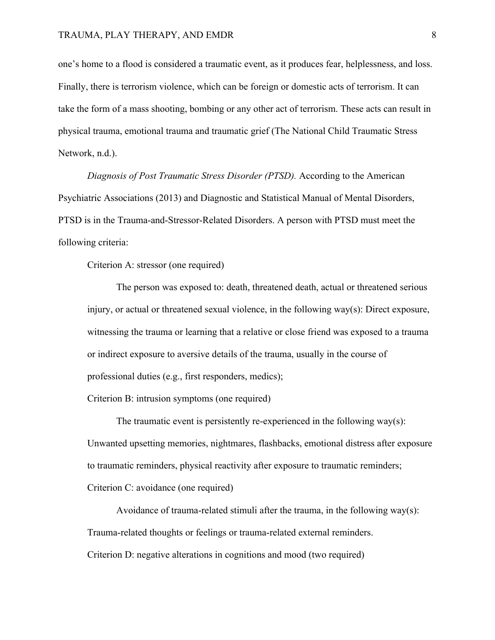one's home to a flood is considered a traumatic event, as it produces fear, helplessness, and loss. Finally, there is terrorism violence, which can be foreign or domestic acts of terrorism. It can take the form of a mass shooting, bombing or any other act of terrorism. These acts can result in physical trauma, emotional trauma and traumatic grief (The National Child Traumatic Stress Network, n.d.).

*Diagnosis of Post Traumatic Stress Disorder (PTSD).* According to the American Psychiatric Associations (2013) and Diagnostic and Statistical Manual of Mental Disorders, PTSD is in the Trauma-and-Stressor-Related Disorders. A person with PTSD must meet the following criteria:

Criterion A: stressor (one required)

The person was exposed to: death, threatened death, actual or threatened serious injury, or actual or threatened sexual violence, in the following  $way(s)$ : Direct exposure, witnessing the trauma or learning that a relative or close friend was exposed to a trauma or indirect exposure to aversive details of the trauma, usually in the course of professional duties (e.g., first responders, medics);

Criterion B: intrusion symptoms (one required)

The traumatic event is persistently re-experienced in the following  $way(s)$ : Unwanted upsetting memories, nightmares, flashbacks, emotional distress after exposure to traumatic reminders, physical reactivity after exposure to traumatic reminders; Criterion C: avoidance (one required)

Avoidance of trauma-related stimuli after the trauma, in the following way(s): Trauma-related thoughts or feelings or trauma-related external reminders. Criterion D: negative alterations in cognitions and mood (two required)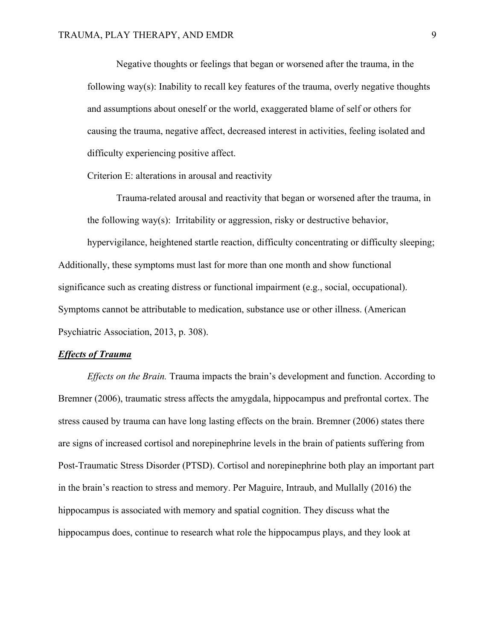Negative thoughts or feelings that began or worsened after the trauma, in the following way(s): Inability to recall key features of the trauma, overly negative thoughts and assumptions about oneself or the world, exaggerated blame of self or others for causing the trauma, negative affect, decreased interest in activities, feeling isolated and difficulty experiencing positive affect.

Criterion E: alterations in arousal and reactivity

Trauma-related arousal and reactivity that began or worsened after the trauma, in the following way(s): Irritability or aggression, risky or destructive behavior,

hypervigilance, heightened startle reaction, difficulty concentrating or difficulty sleeping; Additionally, these symptoms must last for more than one month and show functional significance such as creating distress or functional impairment (e.g., social, occupational). Symptoms cannot be attributable to medication, substance use or other illness. (American Psychiatric Association, 2013, p. 308).

#### *Effects of Trauma*

*Effects on the Brain.* Trauma impacts the brain's development and function. According to Bremner (2006), traumatic stress affects the amygdala, hippocampus and prefrontal cortex. The stress caused by trauma can have long lasting effects on the brain. Bremner (2006) states there are signs of increased cortisol and norepinephrine levels in the brain of patients suffering from Post-Traumatic Stress Disorder (PTSD). Cortisol and norepinephrine both play an important part in the brain's reaction to stress and memory. Per Maguire, Intraub, and Mullally (2016) the hippocampus is associated with memory and spatial cognition. They discuss what the hippocampus does, continue to research what role the hippocampus plays, and they look at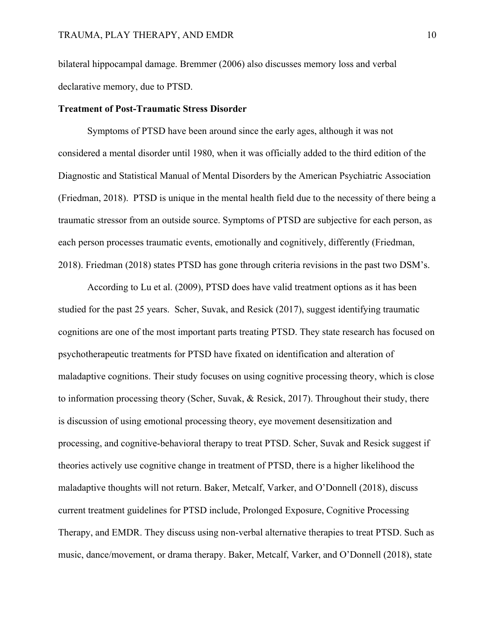bilateral hippocampal damage. Bremmer (2006) also discusses memory loss and verbal declarative memory, due to PTSD.

#### **Treatment of Post-Traumatic Stress Disorder**

Symptoms of PTSD have been around since the early ages, although it was not considered a mental disorder until 1980, when it was officially added to the third edition of the Diagnostic and Statistical Manual of Mental Disorders by the American Psychiatric Association (Friedman, 2018). PTSD is unique in the mental health field due to the necessity of there being a traumatic stressor from an outside source. Symptoms of PTSD are subjective for each person, as each person processes traumatic events, emotionally and cognitively, differently (Friedman, 2018). Friedman (2018) states PTSD has gone through criteria revisions in the past two DSM's.

According to Lu et al. (2009), PTSD does have valid treatment options as it has been studied for the past 25 years. Scher, Suvak, and Resick (2017), suggest identifying traumatic cognitions are one of the most important parts treating PTSD. They state research has focused on psychotherapeutic treatments for PTSD have fixated on identification and alteration of maladaptive cognitions. Their study focuses on using cognitive processing theory, which is close to information processing theory (Scher, Suvak, & Resick, 2017). Throughout their study, there is discussion of using emotional processing theory, eye movement desensitization and processing, and cognitive-behavioral therapy to treat PTSD. Scher, Suvak and Resick suggest if theories actively use cognitive change in treatment of PTSD, there is a higher likelihood the maladaptive thoughts will not return. Baker, Metcalf, Varker, and O'Donnell (2018), discuss current treatment guidelines for PTSD include, Prolonged Exposure, Cognitive Processing Therapy, and EMDR. They discuss using non-verbal alternative therapies to treat PTSD. Such as music, dance/movement, or drama therapy. Baker, Metcalf, Varker, and O'Donnell (2018), state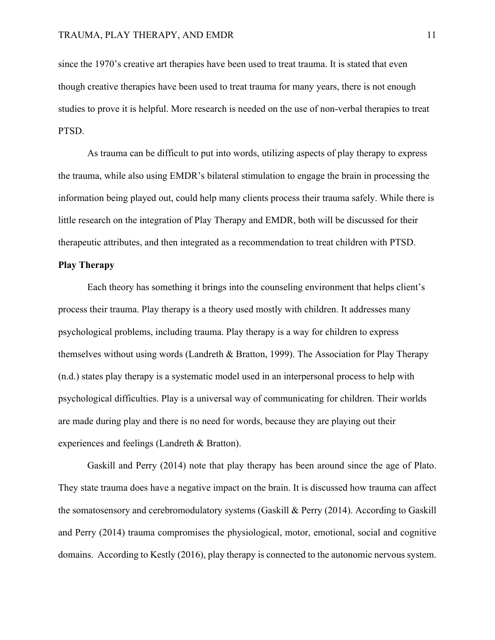since the 1970's creative art therapies have been used to treat trauma. It is stated that even though creative therapies have been used to treat trauma for many years, there is not enough studies to prove it is helpful. More research is needed on the use of non-verbal therapies to treat PTSD.

As trauma can be difficult to put into words, utilizing aspects of play therapy to express the trauma, while also using EMDR's bilateral stimulation to engage the brain in processing the information being played out, could help many clients process their trauma safely. While there is little research on the integration of Play Therapy and EMDR, both will be discussed for their therapeutic attributes, and then integrated as a recommendation to treat children with PTSD.

# **Play Therapy**

Each theory has something it brings into the counseling environment that helps client's process their trauma. Play therapy is a theory used mostly with children. It addresses many psychological problems, including trauma. Play therapy is a way for children to express themselves without using words (Landreth & Bratton, 1999). The Association for Play Therapy (n.d.) states play therapy is a systematic model used in an interpersonal process to help with psychological difficulties. Play is a universal way of communicating for children. Their worlds are made during play and there is no need for words, because they are playing out their experiences and feelings (Landreth & Bratton).

Gaskill and Perry (2014) note that play therapy has been around since the age of Plato. They state trauma does have a negative impact on the brain. It is discussed how trauma can affect the somatosensory and cerebromodulatory systems (Gaskill & Perry (2014). According to Gaskill and Perry (2014) trauma compromises the physiological, motor, emotional, social and cognitive domains. According to Kestly (2016), play therapy is connected to the autonomic nervous system.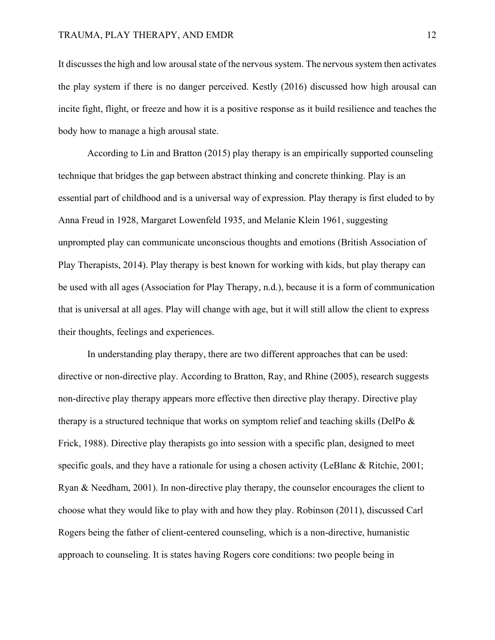It discussesthe high and low arousal state of the nervous system. The nervous system then activates the play system if there is no danger perceived. Kestly (2016) discussed how high arousal can incite fight, flight, or freeze and how it is a positive response as it build resilience and teaches the body how to manage a high arousal state.

According to Lin and Bratton (2015) play therapy is an empirically supported counseling technique that bridges the gap between abstract thinking and concrete thinking. Play is an essential part of childhood and is a universal way of expression. Play therapy is first eluded to by Anna Freud in 1928, Margaret Lowenfeld 1935, and Melanie Klein 1961, suggesting unprompted play can communicate unconscious thoughts and emotions (British Association of Play Therapists, 2014). Play therapy is best known for working with kids, but play therapy can be used with all ages (Association for Play Therapy, n.d.), because it is a form of communication that is universal at all ages. Play will change with age, but it will still allow the client to express their thoughts, feelings and experiences.

In understanding play therapy, there are two different approaches that can be used: directive or non-directive play. According to Bratton, Ray, and Rhine (2005), research suggests non-directive play therapy appears more effective then directive play therapy. Directive play therapy is a structured technique that works on symptom relief and teaching skills (DelPo & Frick, 1988). Directive play therapists go into session with a specific plan, designed to meet specific goals, and they have a rationale for using a chosen activity (LeBlanc & Ritchie, 2001; Ryan & Needham, 2001). In non-directive play therapy, the counselor encourages the client to choose what they would like to play with and how they play. Robinson (2011), discussed Carl Rogers being the father of client-centered counseling, which is a non-directive, humanistic approach to counseling. It is states having Rogers core conditions: two people being in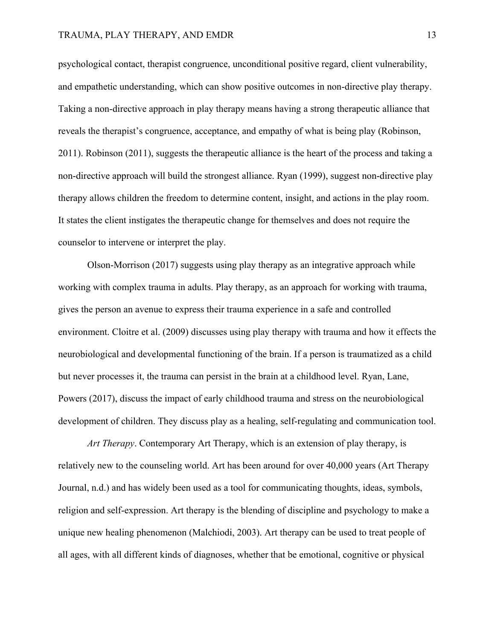# TRAUMA, PLAY THERAPY, AND EMDR 13

psychological contact, therapist congruence, unconditional positive regard, client vulnerability, and empathetic understanding, which can show positive outcomes in non-directive play therapy. Taking a non-directive approach in play therapy means having a strong therapeutic alliance that reveals the therapist's congruence, acceptance, and empathy of what is being play (Robinson, 2011). Robinson (2011), suggests the therapeutic alliance is the heart of the process and taking a non-directive approach will build the strongest alliance. Ryan (1999), suggest non-directive play therapy allows children the freedom to determine content, insight, and actions in the play room. It states the client instigates the therapeutic change for themselves and does not require the counselor to intervene or interpret the play.

Olson-Morrison (2017) suggests using play therapy as an integrative approach while working with complex trauma in adults. Play therapy, as an approach for working with trauma, gives the person an avenue to express their trauma experience in a safe and controlled environment. Cloitre et al. (2009) discusses using play therapy with trauma and how it effects the neurobiological and developmental functioning of the brain. If a person is traumatized as a child but never processes it, the trauma can persist in the brain at a childhood level. Ryan, Lane, Powers (2017), discuss the impact of early childhood trauma and stress on the neurobiological development of children. They discuss play as a healing, self-regulating and communication tool.

*Art Therapy*. Contemporary Art Therapy, which is an extension of play therapy, is relatively new to the counseling world. Art has been around for over 40,000 years (Art Therapy Journal, n.d.) and has widely been used as a tool for communicating thoughts, ideas, symbols, religion and self-expression. Art therapy is the blending of discipline and psychology to make a unique new healing phenomenon (Malchiodi, 2003). Art therapy can be used to treat people of all ages, with all different kinds of diagnoses, whether that be emotional, cognitive or physical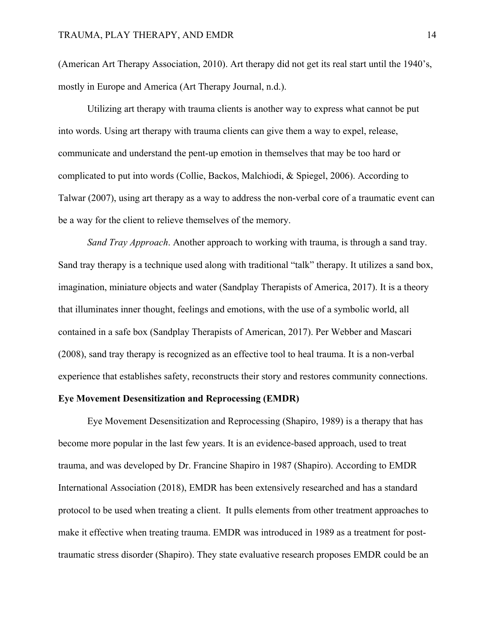(American Art Therapy Association, 2010). Art therapy did not get its real start until the 1940's, mostly in Europe and America (Art Therapy Journal, n.d.).

Utilizing art therapy with trauma clients is another way to express what cannot be put into words. Using art therapy with trauma clients can give them a way to expel, release, communicate and understand the pent-up emotion in themselves that may be too hard or complicated to put into words (Collie, Backos, Malchiodi, & Spiegel, 2006). According to Talwar (2007), using art therapy as a way to address the non-verbal core of a traumatic event can be a way for the client to relieve themselves of the memory.

*Sand Tray Approach*. Another approach to working with trauma, is through a sand tray. Sand tray therapy is a technique used along with traditional "talk" therapy. It utilizes a sand box, imagination, miniature objects and water (Sandplay Therapists of America, 2017). It is a theory that illuminates inner thought, feelings and emotions, with the use of a symbolic world, all contained in a safe box (Sandplay Therapists of American, 2017). Per Webber and Mascari (2008), sand tray therapy is recognized as an effective tool to heal trauma. It is a non-verbal experience that establishes safety, reconstructs their story and restores community connections.

#### **Eye Movement Desensitization and Reprocessing (EMDR)**

Eye Movement Desensitization and Reprocessing (Shapiro, 1989) is a therapy that has become more popular in the last few years. It is an evidence-based approach, used to treat trauma, and was developed by Dr. Francine Shapiro in 1987 (Shapiro). According to EMDR International Association (2018), EMDR has been extensively researched and has a standard protocol to be used when treating a client. It pulls elements from other treatment approaches to make it effective when treating trauma. EMDR was introduced in 1989 as a treatment for posttraumatic stress disorder (Shapiro). They state evaluative research proposes EMDR could be an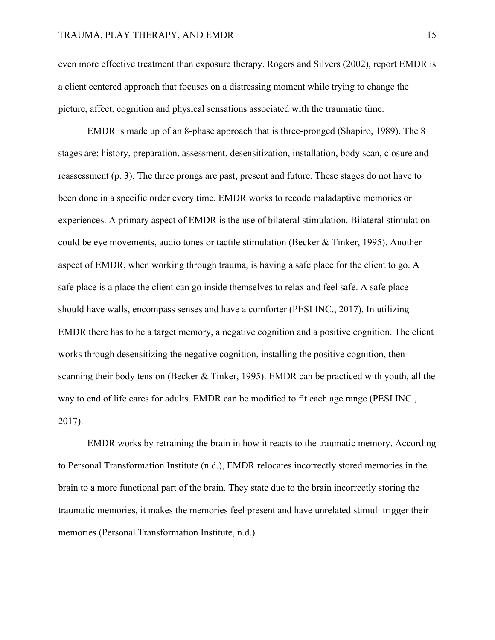even more effective treatment than exposure therapy. Rogers and Silvers (2002), report EMDR is a client centered approach that focuses on a distressing moment while trying to change the picture, affect, cognition and physical sensations associated with the traumatic time.

EMDR is made up of an 8-phase approach that is three-pronged (Shapiro, 1989). The 8 stages are; history, preparation, assessment, desensitization, installation, body scan, closure and reassessment (p. 3). The three prongs are past, present and future. These stages do not have to been done in a specific order every time. EMDR works to recode maladaptive memories or experiences. A primary aspect of EMDR is the use of bilateral stimulation. Bilateral stimulation could be eye movements, audio tones or tactile stimulation (Becker & Tinker, 1995). Another aspect of EMDR, when working through trauma, is having a safe place for the client to go. A safe place is a place the client can go inside themselves to relax and feel safe. A safe place should have walls, encompass senses and have a comforter (PESI INC., 2017). In utilizing EMDR there has to be a target memory, a negative cognition and a positive cognition. The client works through desensitizing the negative cognition, installing the positive cognition, then scanning their body tension (Becker & Tinker, 1995). EMDR can be practiced with youth, all the way to end of life cares for adults. EMDR can be modified to fit each age range (PESI INC., 2017).

EMDR works by retraining the brain in how it reacts to the traumatic memory. According to Personal Transformation Institute (n.d.), EMDR relocates incorrectly stored memories in the brain to a more functional part of the brain. They state due to the brain incorrectly storing the traumatic memories, it makes the memories feel present and have unrelated stimuli trigger their memories (Personal Transformation Institute, n.d.).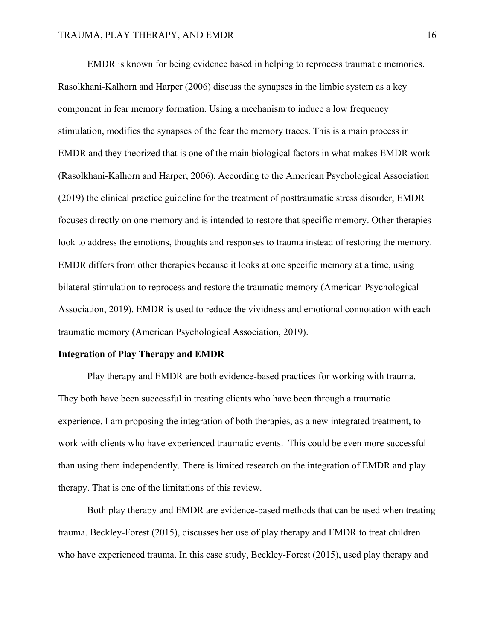EMDR is known for being evidence based in helping to reprocess traumatic memories. Rasolkhani-Kalhorn and Harper (2006) discuss the synapses in the limbic system as a key component in fear memory formation. Using a mechanism to induce a low frequency stimulation, modifies the synapses of the fear the memory traces. This is a main process in EMDR and they theorized that is one of the main biological factors in what makes EMDR work (Rasolkhani-Kalhorn and Harper, 2006). According to the American Psychological Association (2019) the clinical practice guideline for the treatment of posttraumatic stress disorder, EMDR focuses directly on one memory and is intended to restore that specific memory. Other therapies look to address the emotions, thoughts and responses to trauma instead of restoring the memory. EMDR differs from other therapies because it looks at one specific memory at a time, using bilateral stimulation to reprocess and restore the traumatic memory (American Psychological Association, 2019). EMDR is used to reduce the vividness and emotional connotation with each traumatic memory (American Psychological Association, 2019).

#### **Integration of Play Therapy and EMDR**

Play therapy and EMDR are both evidence-based practices for working with trauma. They both have been successful in treating clients who have been through a traumatic experience. I am proposing the integration of both therapies, as a new integrated treatment, to work with clients who have experienced traumatic events. This could be even more successful than using them independently. There is limited research on the integration of EMDR and play therapy. That is one of the limitations of this review.

Both play therapy and EMDR are evidence-based methods that can be used when treating trauma. Beckley-Forest (2015), discusses her use of play therapy and EMDR to treat children who have experienced trauma. In this case study, Beckley-Forest (2015), used play therapy and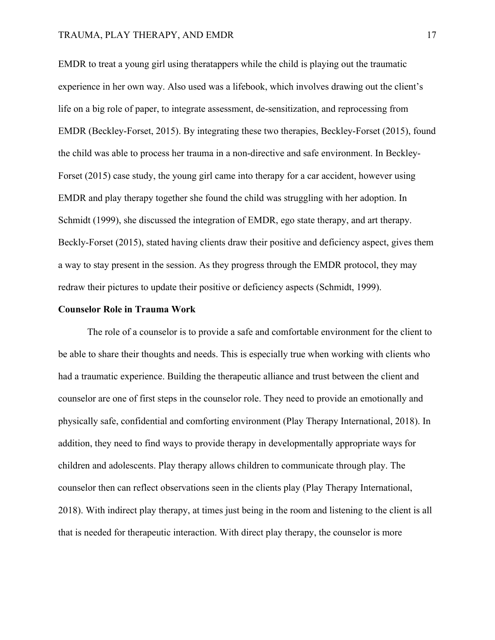# TRAUMA, PLAY THERAPY, AND EMDR 17

EMDR to treat a young girl using theratappers while the child is playing out the traumatic experience in her own way. Also used was a lifebook, which involves drawing out the client's life on a big role of paper, to integrate assessment, de-sensitization, and reprocessing from EMDR (Beckley-Forset, 2015). By integrating these two therapies, Beckley-Forset (2015), found the child was able to process her trauma in a non-directive and safe environment. In Beckley-Forset (2015) case study, the young girl came into therapy for a car accident, however using EMDR and play therapy together she found the child was struggling with her adoption. In Schmidt (1999), she discussed the integration of EMDR, ego state therapy, and art therapy. Beckly-Forset (2015), stated having clients draw their positive and deficiency aspect, gives them a way to stay present in the session. As they progress through the EMDR protocol, they may redraw their pictures to update their positive or deficiency aspects (Schmidt, 1999).

# **Counselor Role in Trauma Work**

The role of a counselor is to provide a safe and comfortable environment for the client to be able to share their thoughts and needs. This is especially true when working with clients who had a traumatic experience. Building the therapeutic alliance and trust between the client and counselor are one of first steps in the counselor role. They need to provide an emotionally and physically safe, confidential and comforting environment (Play Therapy International, 2018). In addition, they need to find ways to provide therapy in developmentally appropriate ways for children and adolescents. Play therapy allows children to communicate through play. The counselor then can reflect observations seen in the clients play (Play Therapy International, 2018). With indirect play therapy, at times just being in the room and listening to the client is all that is needed for therapeutic interaction. With direct play therapy, the counselor is more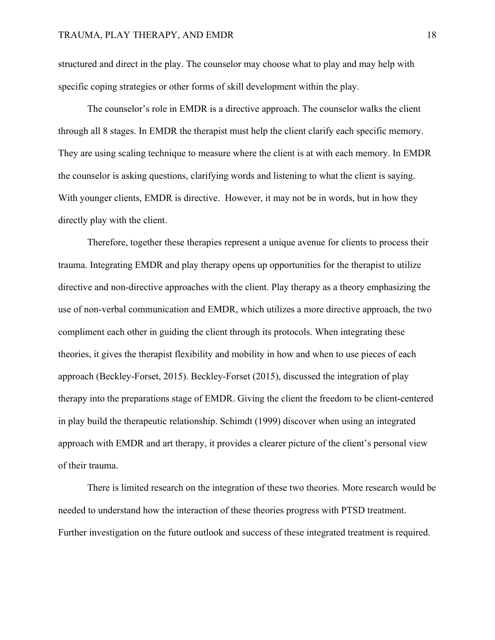structured and direct in the play. The counselor may choose what to play and may help with specific coping strategies or other forms of skill development within the play.

The counselor's role in EMDR is a directive approach. The counselor walks the client through all 8 stages. In EMDR the therapist must help the client clarify each specific memory. They are using scaling technique to measure where the client is at with each memory. In EMDR the counselor is asking questions, clarifying words and listening to what the client is saying. With younger clients, EMDR is directive. However, it may not be in words, but in how they directly play with the client.

Therefore, together these therapies represent a unique avenue for clients to process their trauma. Integrating EMDR and play therapy opens up opportunities for the therapist to utilize directive and non-directive approaches with the client. Play therapy as a theory emphasizing the use of non-verbal communication and EMDR, which utilizes a more directive approach, the two compliment each other in guiding the client through its protocols. When integrating these theories, it gives the therapist flexibility and mobility in how and when to use pieces of each approach (Beckley-Forset, 2015). Beckley-Forset (2015), discussed the integration of play therapy into the preparations stage of EMDR. Giving the client the freedom to be client-centered in play build the therapeutic relationship. Schimdt (1999) discover when using an integrated approach with EMDR and art therapy, it provides a clearer picture of the client's personal view of their trauma.

There is limited research on the integration of these two theories. More research would be needed to understand how the interaction of these theories progress with PTSD treatment. Further investigation on the future outlook and success of these integrated treatment is required.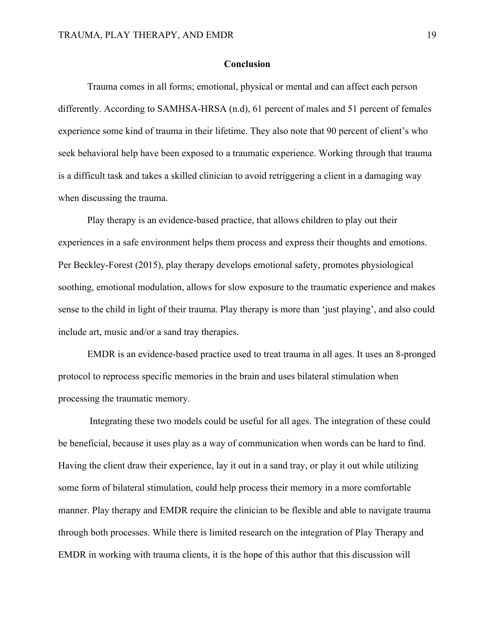# **Conclusion**

Trauma comes in all forms; emotional, physical or mental and can affect each person differently. According to SAMHSA-HRSA (n.d), 61 percent of males and 51 percent of females experience some kind of trauma in their lifetime. They also note that 90 percent of client's who seek behavioral help have been exposed to a traumatic experience. Working through that trauma is a difficult task and takes a skilled clinician to avoid retriggering a client in a damaging way when discussing the trauma.

Play therapy is an evidence-based practice, that allows children to play out their experiences in a safe environment helps them process and express their thoughts and emotions. Per Beckley-Forest (2015), play therapy develops emotional safety, promotes physiological soothing, emotional modulation, allows for slow exposure to the traumatic experience and makes sense to the child in light of their trauma. Play therapy is more than 'just playing', and also could include art, music and/or a sand tray therapies.

EMDR is an evidence-based practice used to treat trauma in all ages. It uses an 8-pronged protocol to reprocess specific memories in the brain and uses bilateral stimulation when processing the traumatic memory.

Integrating these two models could be useful for all ages. The integration of these could be beneficial, because it uses play as a way of communication when words can be hard to find. Having the client draw their experience, lay it out in a sand tray, or play it out while utilizing some form of bilateral stimulation, could help process their memory in a more comfortable manner. Play therapy and EMDR require the clinician to be flexible and able to navigate trauma through both processes. While there is limited research on the integration of Play Therapy and EMDR in working with trauma clients, it is the hope of this author that this discussion will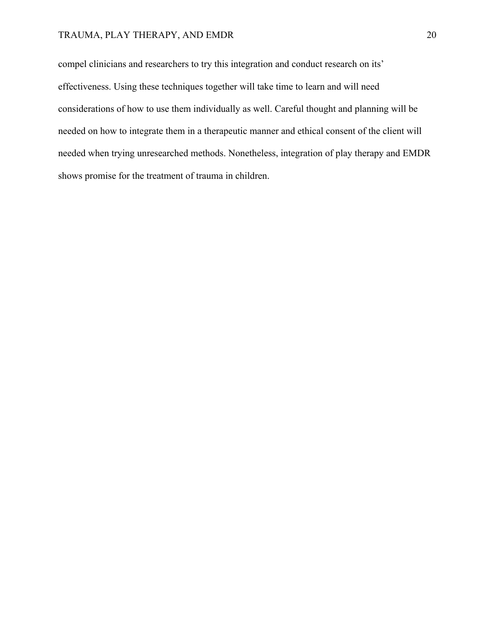# TRAUMA, PLAY THERAPY, AND EMDR 20

compel clinicians and researchers to try this integration and conduct research on its' effectiveness. Using these techniques together will take time to learn and will need considerations of how to use them individually as well. Careful thought and planning will be needed on how to integrate them in a therapeutic manner and ethical consent of the client will needed when trying unresearched methods. Nonetheless, integration of play therapy and EMDR shows promise for the treatment of trauma in children.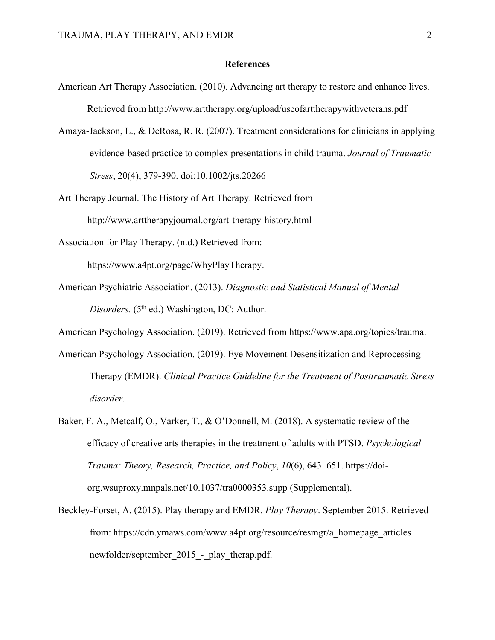# **References**

- American Art Therapy Association. (2010). Advancing art therapy to restore and enhance lives. Retrieved from http://www.arttherapy.org/upload/useofarttherapywithveterans.pdf
- Amaya-Jackson, L., & DeRosa, R. R. (2007). Treatment considerations for clinicians in applying evidence-based practice to complex presentations in child trauma. *Journal of Traumatic Stress*, 20(4), 379-390. doi:10.1002/jts.20266
- Art Therapy Journal. The History of Art Therapy. Retrieved from http://www.arttherapyjournal.org/art-therapy-history.html
- Association for Play Therapy. (n.d.) Retrieved from:

https://www.a4pt.org/page/WhyPlayTherapy.

American Psychiatric Association. (2013). *Diagnostic and Statistical Manual of Mental Disorders.* (5<sup>th</sup> ed.) Washington, DC: Author.

American Psychology Association. (2019). Retrieved from https://www.apa.org/topics/trauma.

- American Psychology Association. (2019). Eye Movement Desensitization and Reprocessing Therapy (EMDR). *Clinical Practice Guideline for the Treatment of Posttraumatic Stress disorder.*
- Baker, F. A., Metcalf, O., Varker, T., & O'Donnell, M. (2018). A systematic review of the efficacy of creative arts therapies in the treatment of adults with PTSD. *Psychological Trauma: Theory, Research, Practice, and Policy*, *10*(6), 643–651. https://doiorg.wsuproxy.mnpals.net/10.1037/tra0000353.supp (Supplemental).
- Beckley-Forset, A. (2015). Play therapy and EMDR. *Play Therapy*. September 2015. Retrieved from: https://cdn.ymaws.com/www.a4pt.org/resource/resmgr/a\_homepage\_articles newfolder/september 2015 - play therap.pdf.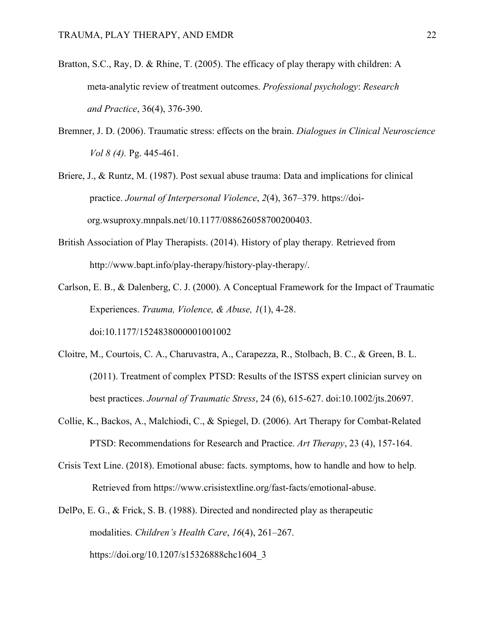- Bratton, S.C., Ray, D. & Rhine, T. (2005). The efficacy of play therapy with children: A meta-analytic review of treatment outcomes. *Professional psychology*: *Research and Practice*, 36(4), 376-390.
- Bremner, J. D. (2006). Traumatic stress: effects on the brain. *Dialogues in Clinical Neuroscience Vol 8 (4).* Pg. 445-461.

Briere, J., & Runtz, M. (1987). Post sexual abuse trauma: Data and implications for clinical practice. *Journal of Interpersonal Violence*, *2*(4), 367–379. https://doiorg.wsuproxy.mnpals.net/10.1177/088626058700200403.

- British Association of Play Therapists. (2014). History of play therapy*.* Retrieved from http://www.bapt.info/play-therapy/history-play-therapy/.
- Carlson, E. B., & Dalenberg, C. J. (2000). A Conceptual Framework for the Impact of Traumatic Experiences. *Trauma, Violence, & Abuse, 1*(1), 4-28.

doi:10.1177/1524838000001001002

- Cloitre, M., Courtois, C. A., Charuvastra, A., Carapezza, R., Stolbach, B. C., & Green, B. L. (2011). Treatment of complex PTSD: Results of the ISTSS expert clinician survey on best practices. *Journal of Traumatic Stress*, 24 (6), 615-627. doi:10.1002/jts.20697.
- Collie, K., Backos, A., Malchiodi, C., & Spiegel, D. (2006). Art Therapy for Combat-Related PTSD: Recommendations for Research and Practice. *Art Therapy*, 23 (4), 157-164.
- Crisis Text Line. (2018). Emotional abuse: facts. symptoms, how to handle and how to help*.* Retrieved from https://www.crisistextline.org/fast-facts/emotional-abuse.
- DelPo, E. G., & Frick, S. B. (1988). Directed and nondirected play as therapeutic modalities. *Children's Health Care*, *16*(4), 261–267.

https://doi.org/10.1207/s15326888chc1604\_3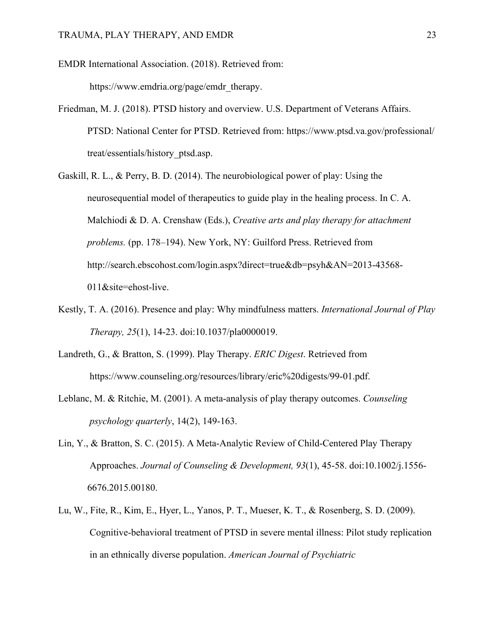EMDR International Association. (2018). Retrieved from: https://www.emdria.org/page/emdr\_therapy.

- Friedman, M. J. (2018). PTSD history and overview. U.S. Department of Veterans Affairs. PTSD: National Center for PTSD. Retrieved from: https://www.ptsd.va.gov/professional/ treat/essentials/history\_ptsd.asp.
- Gaskill, R. L., & Perry, B. D. (2014). The neurobiological power of play: Using the neurosequential model of therapeutics to guide play in the healing process. In C. A. Malchiodi & D. A. Crenshaw (Eds.), *Creative arts and play therapy for attachment problems.* (pp. 178–194). New York, NY: Guilford Press. Retrieved from http://search.ebscohost.com/login.aspx?direct=true&db=psyh&AN=2013-43568- 011&site=ehost-live.
- Kestly, T. A. (2016). Presence and play: Why mindfulness matters. *International Journal of Play Therapy, 25*(1), 14-23. doi:10.1037/pla0000019.
- Landreth, G., & Bratton, S. (1999). Play Therapy. *ERIC Digest*. Retrieved from https://www.counseling.org/resources/library/eric%20digests/99-01.pdf.
- Leblanc, M. & Ritchie, M. (2001). A meta-analysis of play therapy outcomes. *Counseling psychology quarterly*, 14(2), 149-163.
- Lin, Y., & Bratton, S. C. (2015). A Meta-Analytic Review of Child-Centered Play Therapy Approaches. *Journal of Counseling & Development, 93*(1), 45-58. doi:10.1002/j.1556- 6676.2015.00180.
- Lu, W., Fite, R., Kim, E., Hyer, L., Yanos, P. T., Mueser, K. T., & Rosenberg, S. D. (2009). Cognitive-behavioral treatment of PTSD in severe mental illness: Pilot study replication in an ethnically diverse population. *American Journal of Psychiatric*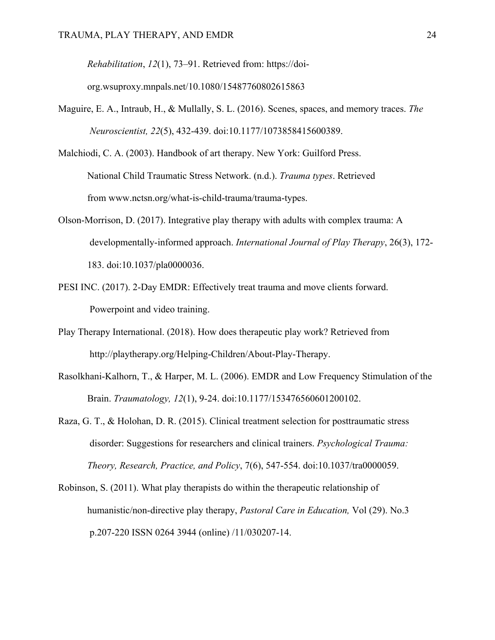*Rehabilitation*, *12*(1), 73–91. Retrieved from: https://doi-

org.wsuproxy.mnpals.net/10.1080/15487760802615863

- Maguire, E. A., Intraub, H., & Mullally, S. L. (2016). Scenes, spaces, and memory traces. *The Neuroscientist, 22*(5), 432-439. doi:10.1177/1073858415600389.
- Malchiodi, C. A. (2003). Handbook of art therapy. New York: Guilford Press. National Child Traumatic Stress Network. (n.d.). *Trauma types*. Retrieved from www.nctsn.org/what-is-child-trauma/trauma-types.
- Olson-Morrison, D. (2017). Integrative play therapy with adults with complex trauma: A developmentally-informed approach. *International Journal of Play Therapy*, 26(3), 172- 183. doi:10.1037/pla0000036.
- PESI INC. (2017). 2-Day EMDR: Effectively treat trauma and move clients forward. Powerpoint and video training.
- Play Therapy International. (2018). How does therapeutic play work? Retrieved from http://playtherapy.org/Helping-Children/About-Play-Therapy.
- Rasolkhani-Kalhorn, T., & Harper, M. L. (2006). EMDR and Low Frequency Stimulation of the Brain. *Traumatology, 12*(1), 9-24. doi:10.1177/153476560601200102.
- Raza, G. T., & Holohan, D. R. (2015). Clinical treatment selection for posttraumatic stress disorder: Suggestions for researchers and clinical trainers. *Psychological Trauma: Theory, Research, Practice, and Policy*, 7(6), 547-554. doi:10.1037/tra0000059.
- Robinson, S. (2011). What play therapists do within the therapeutic relationship of humanistic/non-directive play therapy, *Pastoral Care in Education,* Vol (29). No.3 p.207-220 ISSN 0264 3944 (online) /11/030207-14.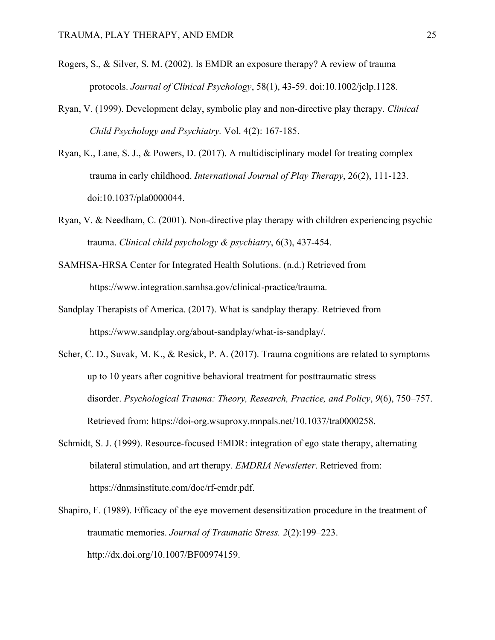- Rogers, S., & Silver, S. M. (2002). Is EMDR an exposure therapy? A review of trauma protocols. *Journal of Clinical Psychology*, 58(1), 43-59. doi:10.1002/jclp.1128.
- Ryan, V. (1999). Development delay, symbolic play and non-directive play therapy. *Clinical Child Psychology and Psychiatry.* Vol. 4(2): 167-185.
- Ryan, K., Lane, S. J., & Powers, D. (2017). A multidisciplinary model for treating complex trauma in early childhood. *International Journal of Play Therapy*, 26(2), 111-123. doi:10.1037/pla0000044.
- Ryan, V. & Needham, C. (2001). Non-directive play therapy with children experiencing psychic trauma. *Clinical child psychology & psychiatry*, 6(3), 437-454.
- SAMHSA-HRSA Center for Integrated Health Solutions. (n.d.) Retrieved from https://www.integration.samhsa.gov/clinical-practice/trauma.
- Sandplay Therapists of America. (2017). What is sandplay therapy*.* Retrieved from https://www.sandplay.org/about-sandplay/what-is-sandplay/.
- Scher, C. D., Suvak, M. K., & Resick, P. A. (2017). Trauma cognitions are related to symptoms up to 10 years after cognitive behavioral treatment for posttraumatic stress disorder. *Psychological Trauma: Theory, Research, Practice, and Policy*, *9*(6), 750–757. Retrieved from: https://doi-org.wsuproxy.mnpals.net/10.1037/tra0000258.
- Schmidt, S. J. (1999). Resource-focused EMDR: integration of ego state therapy, alternating bilateral stimulation, and art therapy. *EMDRIA Newsletter*. Retrieved from: https://dnmsinstitute.com/doc/rf-emdr.pdf.
- Shapiro, F. (1989). Efficacy of the eye movement desensitization procedure in the treatment of traumatic memories. *Journal of Traumatic Stress. 2*(2):199–223. http://dx.doi.org/10.1007/BF00974159.